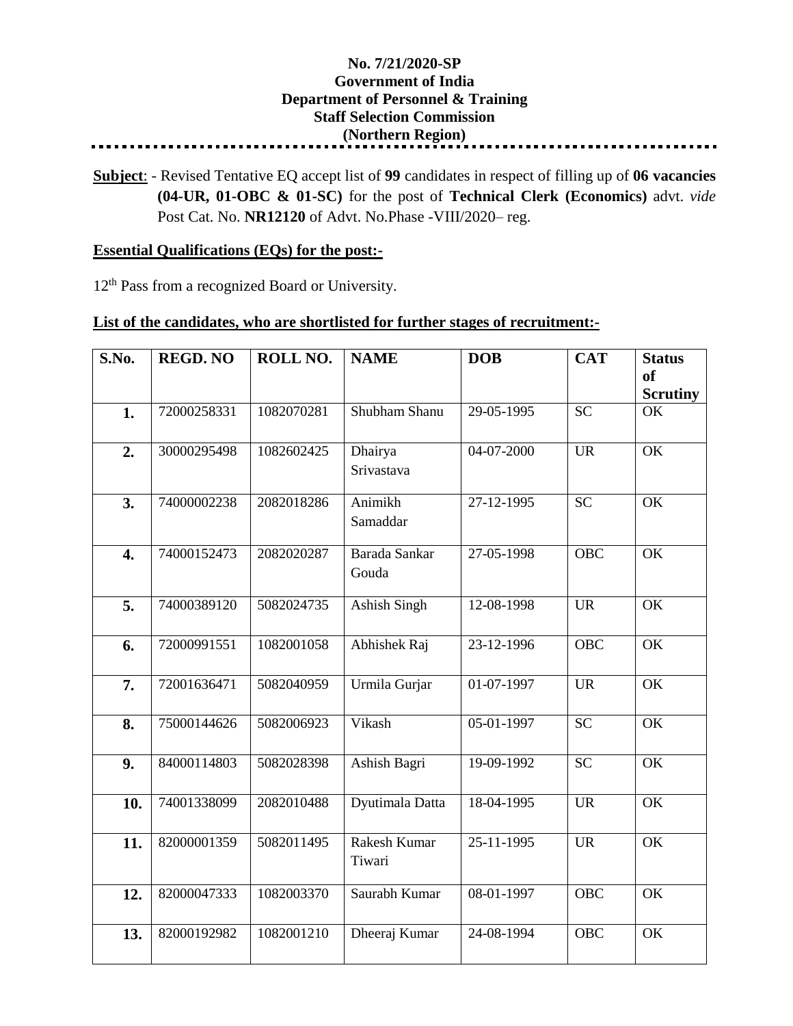## **No. 7/21/2020-SP Government of India Department of Personnel & Training Staff Selection Commission (Northern Region)**

**Subject**: - Revised Tentative EQ accept list of **99** candidates in respect of filling up of **06 vacancies (04-UR, 01-OBC & 01-SC)** for the post of **Technical Clerk (Economics)** advt. *vide* Post Cat. No. **NR12120** of Advt. No.Phase -VIII/2020– reg.

## **Essential Qualifications (EQs) for the post:-**

12<sup>th</sup> Pass from a recognized Board or University.

## **List of the candidates, who are shortlisted for further stages of recruitment:-**

| S.No. | <b>REGD. NO</b> | ROLL NO.   | <b>NAME</b>            | <b>DOB</b> | <b>CAT</b> | <b>Status</b><br><b>of</b><br><b>Scrutiny</b> |
|-------|-----------------|------------|------------------------|------------|------------|-----------------------------------------------|
| 1.    | 72000258331     | 1082070281 | Shubham Shanu          | 29-05-1995 | <b>SC</b>  | OK                                            |
| 2.    | 30000295498     | 1082602425 | Dhairya<br>Srivastava  | 04-07-2000 | <b>UR</b>  | OK                                            |
| 3.    | 74000002238     | 2082018286 | Animikh<br>Samaddar    | 27-12-1995 | <b>SC</b>  | OK                                            |
| 4.    | 74000152473     | 2082020287 | Barada Sankar<br>Gouda | 27-05-1998 | <b>OBC</b> | OK                                            |
| 5.    | 74000389120     | 5082024735 | Ashish Singh           | 12-08-1998 | <b>UR</b>  | OK                                            |
| 6.    | 72000991551     | 1082001058 | Abhishek Raj           | 23-12-1996 | <b>OBC</b> | OK                                            |
| 7.    | 72001636471     | 5082040959 | Urmila Gurjar          | 01-07-1997 | <b>UR</b>  | OK                                            |
| 8.    | 75000144626     | 5082006923 | Vikash                 | 05-01-1997 | <b>SC</b>  | OK                                            |
| 9.    | 84000114803     | 5082028398 | Ashish Bagri           | 19-09-1992 | <b>SC</b>  | OK                                            |
| 10.   | 74001338099     | 2082010488 | Dyutimala Datta        | 18-04-1995 | <b>UR</b>  | OK                                            |
| 11.   | 82000001359     | 5082011495 | Rakesh Kumar<br>Tiwari | 25-11-1995 | <b>UR</b>  | OK                                            |
| 12.   | 82000047333     | 1082003370 | Saurabh Kumar          | 08-01-1997 | <b>OBC</b> | OK                                            |
| 13.   | 82000192982     | 1082001210 | Dheeraj Kumar          | 24-08-1994 | <b>OBC</b> | OK                                            |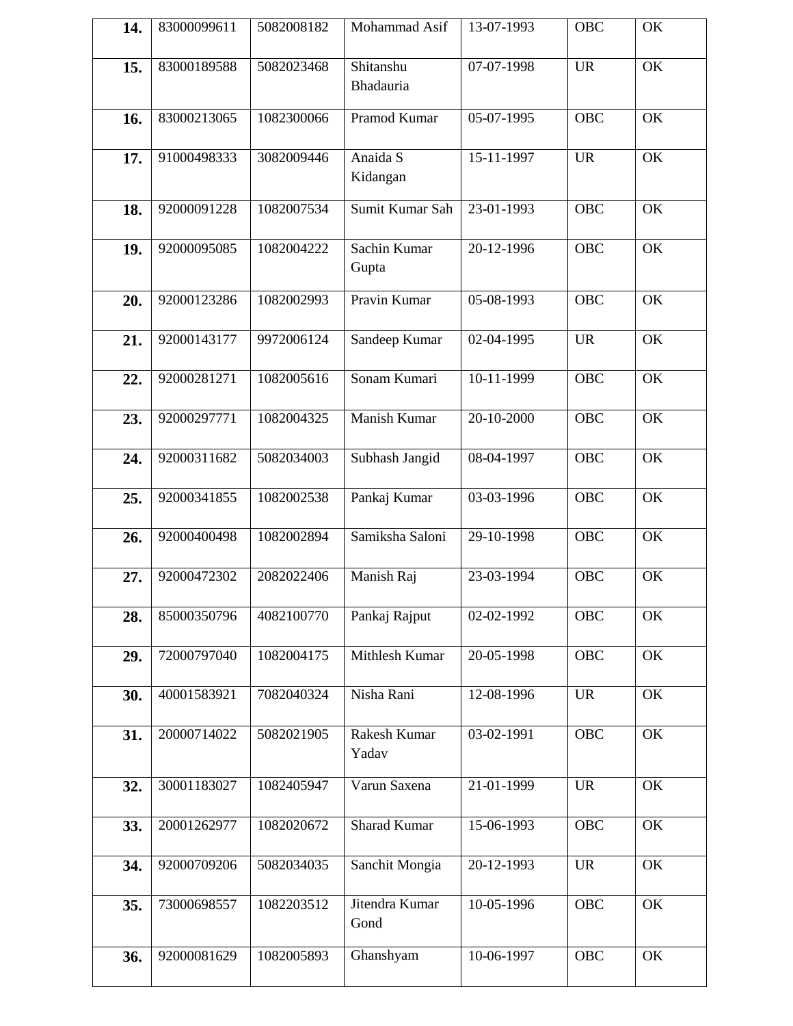| 14. | 83000099611 | 5082008182 | Mohammad Asif          | 13-07-1993   | <b>OBC</b> | OK        |
|-----|-------------|------------|------------------------|--------------|------------|-----------|
| 15. | 83000189588 | 5082023468 | Shitanshu<br>Bhadauria | 07-07-1998   | <b>UR</b>  | OK        |
| 16. | 83000213065 | 1082300066 | Pramod Kumar           | 05-07-1995   | <b>OBC</b> | OK        |
| 17. | 91000498333 | 3082009446 | Anaida S<br>Kidangan   | 15-11-1997   | <b>UR</b>  | OK        |
| 18. | 92000091228 | 1082007534 | Sumit Kumar Sah        | 23-01-1993   | <b>OBC</b> | <b>OK</b> |
| 19. | 92000095085 | 1082004222 | Sachin Kumar<br>Gupta  | 20-12-1996   | <b>OBC</b> | OK        |
| 20. | 92000123286 | 1082002993 | Pravin Kumar           | 05-08-1993   | <b>OBC</b> | OK        |
| 21. | 92000143177 | 9972006124 | Sandeep Kumar          | 02-04-1995   | <b>UR</b>  | OK        |
| 22. | 92000281271 | 1082005616 | Sonam Kumari           | 10-11-1999   | <b>OBC</b> | OK        |
| 23. | 92000297771 | 1082004325 | Manish Kumar           | 20-10-2000   | <b>OBC</b> | OK        |
| 24. | 92000311682 | 5082034003 | Subhash Jangid         | 08-04-1997   | OBC        | OK        |
| 25. | 92000341855 | 1082002538 | Pankaj Kumar           | 03-03-1996   | <b>OBC</b> | OK        |
| 26. | 92000400498 | 1082002894 | Samiksha Saloni        | 29-10-1998   | <b>OBC</b> | OK        |
| 27. | 92000472302 | 2082022406 | Manish Raj             | 23-03-1994   | <b>OBC</b> | OK        |
| 28. | 85000350796 | 4082100770 | Pankaj Rajput          | 02-02-1992   | OBC        | OK        |
| 29. | 72000797040 | 1082004175 | Mithlesh Kumar         | 20-05-1998   | OBC        | OK        |
| 30. | 40001583921 | 7082040324 | Nisha Rani             | 12-08-1996   | <b>UR</b>  | OK        |
| 31. | 20000714022 | 5082021905 | Rakesh Kumar<br>Yadav  | $03-02-1991$ | <b>OBC</b> | OK        |
| 32. | 30001183027 | 1082405947 | Varun Saxena           | 21-01-1999   | <b>UR</b>  | OK        |
| 33. | 20001262977 | 1082020672 | <b>Sharad Kumar</b>    | 15-06-1993   | OBC        | OK        |
| 34. | 92000709206 | 5082034035 | Sanchit Mongia         | 20-12-1993   | <b>UR</b>  | OK        |
| 35. | 73000698557 | 1082203512 | Jitendra Kumar<br>Gond | 10-05-1996   | OBC        | OK        |
| 36. | 92000081629 | 1082005893 | Ghanshyam              | 10-06-1997   | <b>OBC</b> | OK        |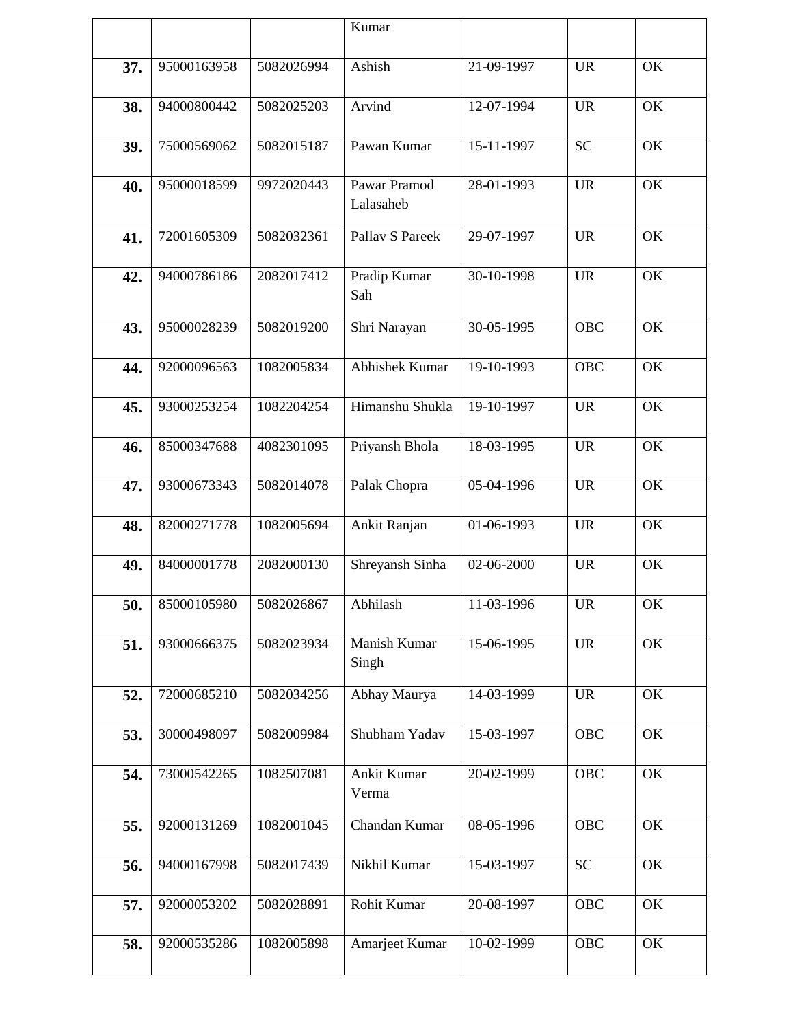|     |             |            | Kumar                     |                          |                                   |           |
|-----|-------------|------------|---------------------------|--------------------------|-----------------------------------|-----------|
| 37. | 95000163958 | 5082026994 | Ashish                    | 21-09-1997               | <b>UR</b>                         | <b>OK</b> |
| 38. | 94000800442 | 5082025203 | Arvind                    | 12-07-1994               | <b>UR</b>                         | OK        |
| 39. | 75000569062 | 5082015187 | Pawan Kumar               | 15-11-1997               | <b>SC</b>                         | OK        |
| 40. | 95000018599 | 9972020443 | Pawar Pramod<br>Lalasaheb | 28-01-1993               | <b>UR</b>                         | OK        |
| 41. | 72001605309 | 5082032361 | Pallav S Pareek           | 29-07-1997               | <b>UR</b>                         | OK        |
| 42. | 94000786186 | 2082017412 | Pradip Kumar<br>Sah       | 30-10-1998               | <b>UR</b>                         | OK        |
| 43. | 95000028239 | 5082019200 | Shri Narayan              | 30-05-1995               | <b>OBC</b>                        | OK        |
| 44. | 92000096563 | 1082005834 | Abhishek Kumar            | 19-10-1993               | <b>OBC</b>                        | OK        |
| 45. | 93000253254 | 1082204254 | Himanshu Shukla           | 19-10-1997               | <b>UR</b>                         | OK        |
| 46. | 85000347688 | 4082301095 | Priyansh Bhola            | 18-03-1995               | <b>UR</b>                         | OK        |
| 47. | 93000673343 | 5082014078 | Palak Chopra              | 05-04-1996               | <b>UR</b>                         | OK        |
| 48. | 82000271778 | 1082005694 | Ankit Ranjan              | 01-06-1993               | <b>UR</b>                         | OK        |
| 49. | 84000001778 | 2082000130 | Shreyansh Sinha           | 02-06-2000               | <b>UR</b>                         | OK        |
| 50. | 85000105980 | 5082026867 | Abhilash                  | $\overline{11}$ -03-1996 | $\ensuremath{\mathrm{UR}}\xspace$ | OK        |
| 51. | 93000666375 | 5082023934 | Manish Kumar<br>Singh     | 15-06-1995               | <b>UR</b>                         | OK        |
| 52. | 72000685210 | 5082034256 | Abhay Maurya              | 14-03-1999               | <b>UR</b>                         | OK        |
| 53. | 30000498097 | 5082009984 | Shubham Yadav             | 15-03-1997               | <b>OBC</b>                        | OK        |
| 54. | 73000542265 | 1082507081 | Ankit Kumar<br>Verma      | 20-02-1999               | <b>OBC</b>                        | OK        |
| 55. | 92000131269 | 1082001045 | Chandan Kumar             | 08-05-1996               | <b>OBC</b>                        | OK        |
| 56. | 94000167998 | 5082017439 | Nikhil Kumar              | 15-03-1997               | <b>SC</b>                         | OK        |
| 57. | 92000053202 | 5082028891 | Rohit Kumar               | 20-08-1997               | OBC                               | OK        |
| 58. | 92000535286 | 1082005898 | Amarjeet Kumar            | 10-02-1999               | OBC                               | OK        |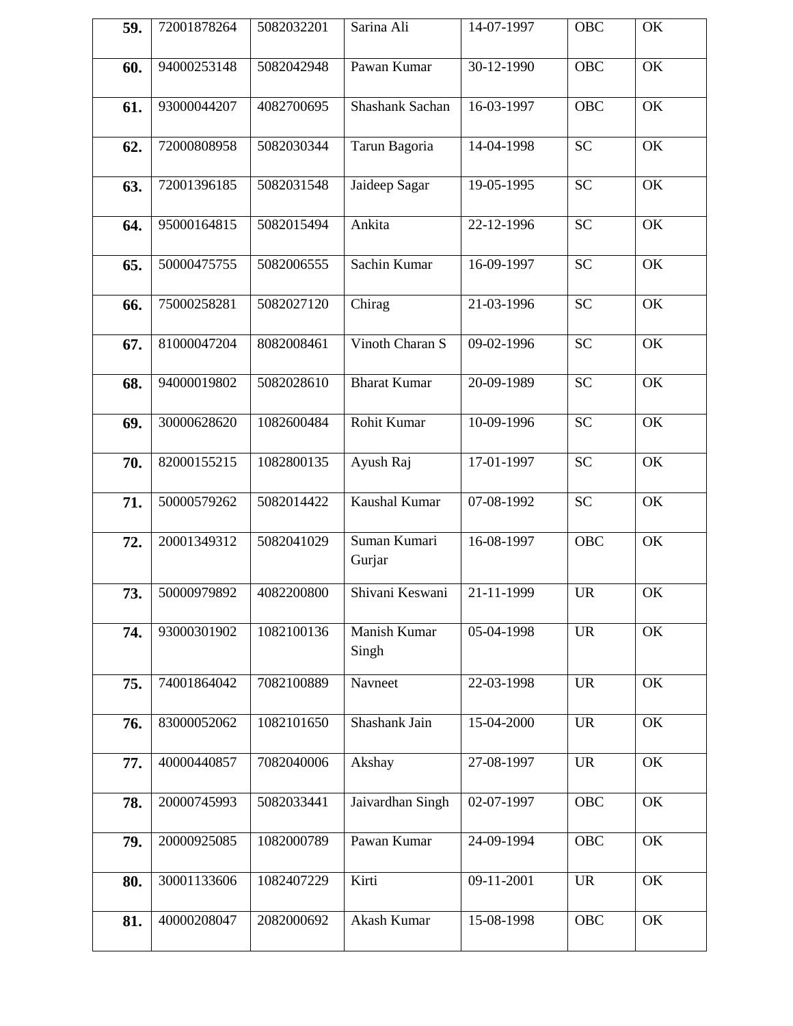| 59. | 72001878264 | 5082032201 | Sarina Ali             | 14-07-1997 | OBC        | OK        |
|-----|-------------|------------|------------------------|------------|------------|-----------|
| 60. | 94000253148 | 5082042948 | Pawan Kumar            | 30-12-1990 | <b>OBC</b> | <b>OK</b> |
| 61. | 93000044207 | 4082700695 | Shashank Sachan        | 16-03-1997 | <b>OBC</b> | OK        |
| 62. | 72000808958 | 5082030344 | Tarun Bagoria          | 14-04-1998 | <b>SC</b>  | OK        |
| 63. | 72001396185 | 5082031548 | Jaideep Sagar          | 19-05-1995 | <b>SC</b>  | OK        |
| 64. | 95000164815 | 5082015494 | Ankita                 | 22-12-1996 | <b>SC</b>  | OK        |
| 65. | 50000475755 | 5082006555 | Sachin Kumar           | 16-09-1997 | <b>SC</b>  | OK        |
| 66. | 75000258281 | 5082027120 | Chirag                 | 21-03-1996 | <b>SC</b>  | OK        |
| 67. | 81000047204 | 8082008461 | Vinoth Charan S        | 09-02-1996 | <b>SC</b>  | OK        |
| 68. | 94000019802 | 5082028610 | <b>Bharat Kumar</b>    | 20-09-1989 | <b>SC</b>  | OK        |
| 69. | 30000628620 | 1082600484 | Rohit Kumar            | 10-09-1996 | <b>SC</b>  | OK        |
| 70. | 82000155215 | 1082800135 | Ayush Raj              | 17-01-1997 | <b>SC</b>  | OK        |
| 71. | 50000579262 | 5082014422 | Kaushal Kumar          | 07-08-1992 | <b>SC</b>  | OK        |
| 72. | 20001349312 | 5082041029 | Suman Kumari<br>Gurjar | 16-08-1997 | <b>OBC</b> | OK        |
| 73. | 50000979892 | 4082200800 | Shivani Keswani        | 21-11-1999 | <b>UR</b>  | OK        |
| 74. | 93000301902 | 1082100136 | Manish Kumar<br>Singh  | 05-04-1998 | <b>UR</b>  | OK        |
| 75. | 74001864042 | 7082100889 | Navneet                | 22-03-1998 | <b>UR</b>  | OK        |
| 76. | 83000052062 | 1082101650 | Shashank Jain          | 15-04-2000 | <b>UR</b>  | OK        |
| 77. | 40000440857 | 7082040006 | Akshay                 | 27-08-1997 | <b>UR</b>  | OK        |
| 78. | 20000745993 | 5082033441 | Jaivardhan Singh       | 02-07-1997 | <b>OBC</b> | OK        |
| 79. | 20000925085 | 1082000789 | Pawan Kumar            | 24-09-1994 | <b>OBC</b> | OK        |
| 80. | 30001133606 | 1082407229 | Kirti                  | 09-11-2001 | <b>UR</b>  | OK        |
| 81. | 40000208047 | 2082000692 | Akash Kumar            | 15-08-1998 | OBC        | OK        |
|     |             |            |                        |            |            |           |